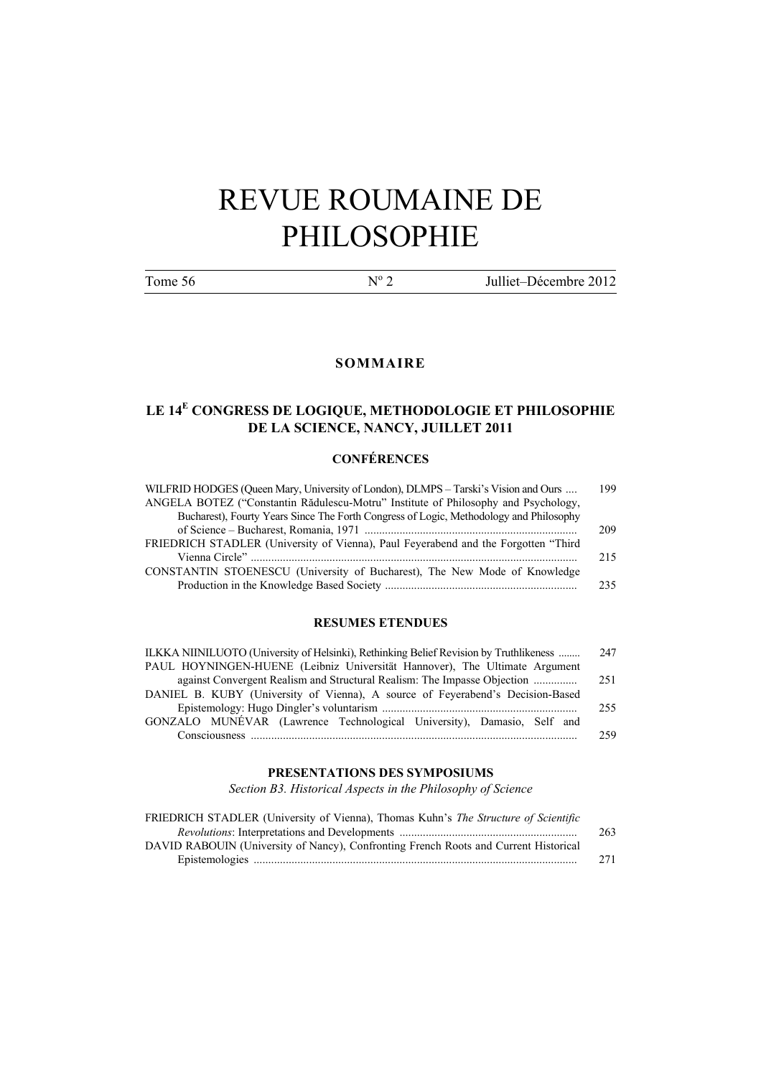# REVUE ROUMAINE DE PHILOSOPHIE

Tome 56  $N^{\circ}$  2

2 Julliet–Décembre 2012

#### **SOMMAIRE**

### **LE 14<sup>E</sup> CONGRESS DE LOGIQUE, METHODOLOGIE ET PHILOSOPHIE DE LA SCIENCE, NANCY, JUILLET 2011**

#### **CONFÉRENCES**

| WILFRID HODGES (Queen Mary, University of London), DLMPS – Tarski's Vision and Ours    | 199 |
|----------------------------------------------------------------------------------------|-----|
| ANGELA BOTEZ ("Constantin Rădulescu-Motru" Institute of Philosophy and Psychology,     |     |
| Bucharest), Fourty Years Since The Forth Congress of Logic, Methodology and Philosophy |     |
|                                                                                        | 209 |
| FRIEDRICH STADLER (University of Vienna), Paul Feyerabend and the Forgotten "Third     |     |
|                                                                                        | 215 |
| CONSTANTIN STOENESCU (University of Bucharest), The New Mode of Knowledge              |     |
|                                                                                        | 235 |

#### **RESUMES ETENDUES**

| ILKKA NIINILUOTO (University of Helsinki), Rethinking Belief Revision by Truthlikeness | 247  |
|----------------------------------------------------------------------------------------|------|
| PAUL HOYNINGEN-HUENE (Leibniz Universität Hannover), The Ultimate Argument             |      |
| against Convergent Realism and Structural Realism: The Impasse Objection               | 251  |
| DANIEL B. KUBY (University of Vienna), A source of Feyerabend's Decision-Based         |      |
|                                                                                        | 255  |
| GONZALO MUNÉVAR (Lawrence Technological University), Damasio, Self and                 |      |
| Consciousness                                                                          | 259. |

#### **PRESENTATIONS DES SYMPOSIUMS**

*Section B3. Historical Aspects in the Philosophy of Science*

| FRIEDRICH STADLER (University of Vienna), Thomas Kuhn's The Structure of Scientific  |     |
|--------------------------------------------------------------------------------------|-----|
|                                                                                      | 263 |
| DAVID RABOUIN (University of Nancy), Confronting French Roots and Current Historical |     |
|                                                                                      | 271 |